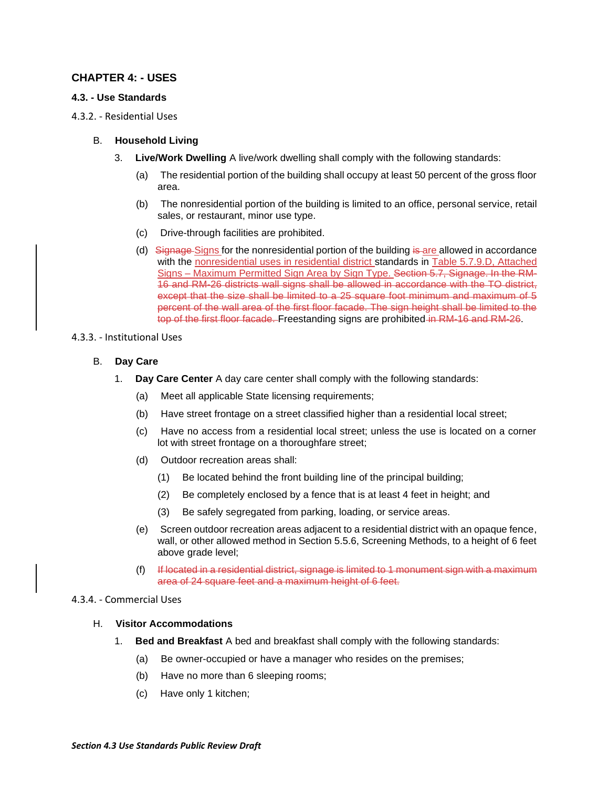# **CHAPTER 4: - USES**

## **4.3. - Use Standards**

4.3.2. - Residential Uses

### B. **Household Living**

- 3. **Live/Work Dwelling** A live/work dwelling shall comply with the following standards:
	- (a) The residential portion of the building shall occupy at least 50 percent of the gross floor area.
	- (b) The nonresidential portion of the building is limited to an office, personal service, retail sales, or restaurant, minor use type.
	- (c) Drive-through facilities are prohibited.
	- (d) Signage Signs for the nonresidential portion of the building is are allowed in accordance with the nonresidential uses in residential district standards in Table 5.7.9.D, Attached Signs – Maximum Permitted Sign Area by Sign Type. Section 5.7, Signage. In the RM-16 and RM-26 districts wall signs shall be allowed in accordance with the TO district, except that the size shall be limited to a 25 square foot minimum and maximum of 5 percent of the wall area of the first floor facade. The sign height shall be limited to the top of the first floor facade. Freestanding signs are prohibited in RM-16 and RM-26.

#### 4.3.3. - Institutional Uses

## B. **Day Care**

- 1. **Day Care Center** A day care center shall comply with the following standards:
	- (a) Meet all applicable State licensing requirements;
	- (b) Have street frontage on a street classified higher than a residential local street;
	- (c) Have no access from a residential local street; unless the use is located on a corner lot with street frontage on a thoroughfare street;
	- (d) Outdoor recreation areas shall:
		- (1) Be located behind the front building line of the principal building;
		- (2) Be completely enclosed by a fence that is at least 4 feet in height; and
		- (3) Be safely segregated from parking, loading, or service areas.
	- (e) Screen outdoor recreation areas adjacent to a residential district with an opaque fence, wall, or other allowed method in Section 5.5.6, Screening Methods, to a height of 6 feet above grade level;
	- (f) If located in a residential district, signage is limited to 1 monument sign with a maximum area of 24 square feet and a maximum height of 6 feet.

#### 4.3.4. - Commercial Uses

#### H. **Visitor Accommodations**

- 1. **Bed and Breakfast** A bed and breakfast shall comply with the following standards:
	- (a) Be owner-occupied or have a manager who resides on the premises;
	- (b) Have no more than 6 sleeping rooms;
	- (c) Have only 1 kitchen;